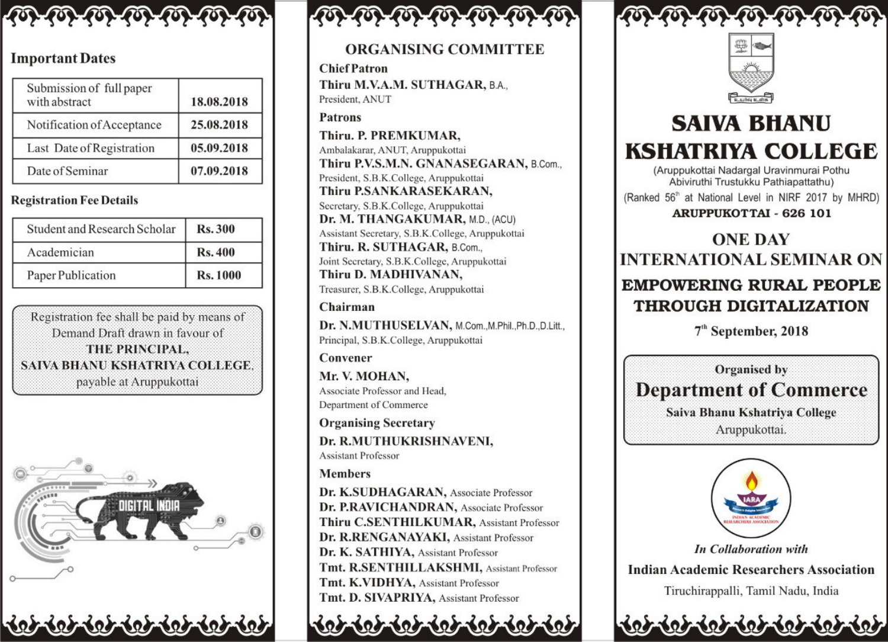

### **Important Dates**

| Submission of full paper<br>with abstract | 18.08.2018 |
|-------------------------------------------|------------|
| Notification of Acceptance                | 25.08.2018 |
| Last Date of Registration                 | 05.09.2018 |
| Date of Seminar                           | 07.09.2018 |

#### **Registration Fee Details**

| Student and Research Scholar | <b>Rs.300</b>   |
|------------------------------|-----------------|
| Academician                  | <b>Rs. 400</b>  |
| Paper Publication            | <b>Rs. 1000</b> |

Registration fee shall be paid by means of Demand Draft drawn in favour of THE PRINCIPAL. SAIVA BHANU KSHATRIYA COLLEGE. payable at Aruppukottai



### **ORGANISING COMMITTEE**

**Chief Patron** Thiru M.V.A.M. SUTHAGAR, B.A., President, ANUT

**Patrons** 

Thiru. P. PREMKUMAR, Ambalakarar, ANUT, Aruppukottai Thiru P.V.S.M.N. GNANASEGARAN, B.Com., President, S.B.K.College, Aruppukottai Thiru P.SANKARASEKARAN, Secretary, S.B.K.College, Aruppukottai Dr. M. THANGAKUMAR, M.D., (ACU) Assistant Secretary, S.B.K.College, Aruppukottai Thiru. R. SUTHAGAR, B.Com... Joint Secretary, S.B.K.College, Aruppukottai Thiru D. MADHIVANAN,

Treasurer, S.B.K.College, Aruppukottai

Chairman

Dr. N.MUTHUSELVAN, M.Com., M.Phil., Ph.D., D.Litt., Principal, S.B.K.College, Aruppukottai

Convener

Mr. V. MOHAN. Associate Professor and Head, Department of Commerce

**Organising Secretary** Dr. R.MUTHUKRISHNAVENI, **Assistant Professor** 

**Members** 

Dr. K.SUDHAGARAN, Associate Professor Dr. P.RAVICHANDRAN, Associate Professor Thiru C.SENTHILKUMAR, Assistant Professor Dr. R.RENGANAYAKI, Assistant Professor Dr. K. SATHIYA, Assistant Professor Tmt. R.SENTHILLAKSHMI, Assistant Professor Tmt. K.VIDHYA, Assistant Professor Tmt. D. SIVAPRIYA, Assistant Professor





# **SAIVA BHANU KSHATRIYA COLLEGE**

(Aruppukottai Nadargal Uravinmurai Pothu Abiviruthi Trustukku Pathiapattathu)

(Ranked 56<sup>th</sup> at National Level in NIRF 2017 by MHRD)

**ARUPPUKOTTAI - 626 101** 

## **ONE DAY INTERNATIONAL SEMINAR ON EMPOWERING RURAL PEOPLE THROUGH DIGITALIZATION**

7<sup>th</sup> September, 2018





**In Collaboration with Indian Academic Researchers Association** Tiruchirappalli, Tamil Nadu, India

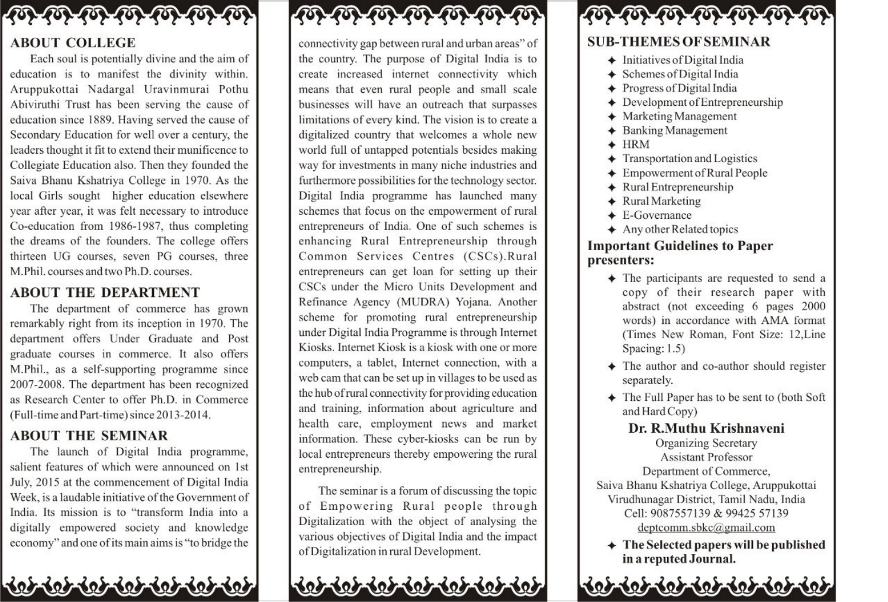

#### **ABOUT COLLEGE**

Each soul is potentially divine and the aim of education is to manifest the divinity within. Aruppukottai Nadargal Uravinmurai Pothu Abiviruthi Trust has been serving the cause of education since 1889. Having served the cause of Secondary Education for well over a century, the leaders thought it fit to extend their munificence to Collegiate Education also. Then they founded the Saiva Bhanu Kshatriya College in 1970. As the local Girls sought higher education elsewhere year after year, it was felt necessary to introduce Co-education from 1986-1987, thus completing the dreams of the founders. The college offers thirteen UG courses, seven PG courses, three M.Phil. courses and two Ph.D. courses.

#### **ABOUT THE DEPARTMENT**

The department of commerce has grown remarkably right from its inception in 1970. The department offers Under Graduate and Post graduate courses in commerce. It also offers M.Phil., as a self-supporting programme since 2007-2008. The department has been recognized as Research Center to offer Ph.D. in Commerce (Full-time and Part-time) since 2013-2014.

#### **ABOUT THE SEMINAR**

The launch of Digital India programme, salient features of which were announced on 1st July, 2015 at the commencement of Digital India Week, is a laudable initiative of the Government of India. Its mission is to "transform India into a digitally empowered society and knowledge economy" and one of its main aims is "to bridge the

# 



connectivity gap between rural and urban areas" of the country. The purpose of Digital India is to create increased internet connectivity which means that even rural people and small scale businesses will have an outreach that surpasses limitations of every kind. The vision is to create a digitalized country that welcomes a whole new world full of untapped potentials besides making way for investments in many niche industries and furthermore possibilities for the technology sector. Digital India programme has launched many schemes that focus on the empowerment of rural entrepreneurs of India. One of such schemes is enhancing Rural Entrepreneurship through Common Services Centres (CSCs).Rural entrepreneurs can get loan for setting up their CSCs under the Micro Units Development and Refinance Agency (MUDRA) Yojana. Another scheme for promoting rural entrepreneurship under Digital India Programme is through Internet Kiosks. Internet Kiosk is a kiosk with one or more computers, a tablet, Internet connection, with a web cam that can be set up in villages to be used as the hub of rural connectivity for providing education and training, information about agriculture and health care, employment news and market information. These cyber-kiosks can be run by local entrepreneurs thereby empowering the rural entrepreneurship.

The seminar is a forum of discussing the topic of Empowering Rural people through Digitalization with the object of analysing the various objectives of Digital India and the impact of Digitalization in rural Development.

# $60 - 60 - 60 - 60 - 60 - 60$

### **SUB-THEMES OF SEMINAR**

- $\triangleq$  Initiatives of Digital India
- ♦ Schemes of Digital India
- + Progress of Digital India
- $\triangle$  Development of Entrepreneurship
- $\triangleq$  Marketing Management
- ♦ Banking Management
- $+$  HRM
- $\triangleleft$  Transportation and Logistics
- $\triangleq$  Empowerment of Rural People
- $\triangleq$  Rural Entrepreneurship
- ← Rural Marketing
- $\triangle$  E-Governance
- $\triangle$  Any other Related topics

#### **Important Guidelines to Paper** presenters:

- $\triangle$  The participants are requested to send a copy of their research paper with abstract (not exceeding 6 pages 2000 words) in accordance with AMA format (Times New Roman, Font Size: 12, Line Spacing: 1.5)
- The author and co-author should register separately.
- + The Full Paper has to be sent to (both Soft and Hard Copy)
- Dr. R.Muthu Krishnaveni **Organizing Secretary Assistant Professor** Department of Commerce, Saiva Bhanu Kshatriya College, Aruppukottai Virudhunagar District, Tamil Nadu, India Cell: 9087557139 & 99425 57139 deptcomm.sbkc@gmail.com
	- $\triangleq$  The Selected papers will be published in a reputed Journal.

602-602-602-602-602-60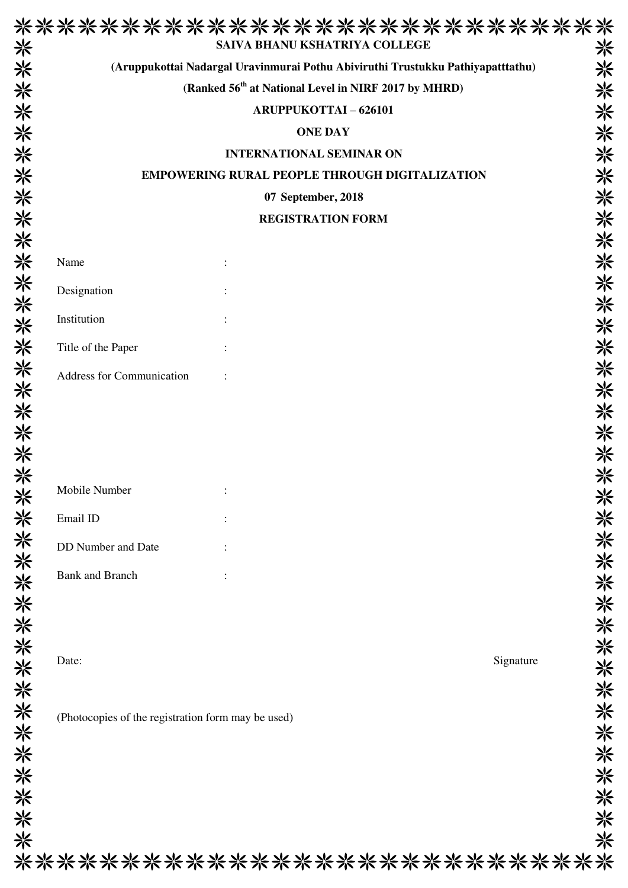|                                                    | (Aruppukottai Nadargal Uravinmurai Pothu Abiviruthi Trustukku Pathiyapatttathu) |           |
|----------------------------------------------------|---------------------------------------------------------------------------------|-----------|
|                                                    | (Ranked 56 <sup>th</sup> at National Level in NIRF 2017 by MHRD)                |           |
|                                                    | <b>ARUPPUKOTTAI-626101</b>                                                      |           |
|                                                    | <b>ONE DAY</b>                                                                  |           |
|                                                    | <b>INTERNATIONAL SEMINAR ON</b>                                                 |           |
|                                                    | <b>EMPOWERING RURAL PEOPLE THROUGH DIGITALIZATION</b>                           |           |
|                                                    | 07 September, 2018                                                              |           |
|                                                    | <b>REGISTRATION FORM</b>                                                        |           |
| Name                                               |                                                                                 |           |
|                                                    |                                                                                 |           |
| Designation                                        |                                                                                 |           |
| Institution                                        |                                                                                 |           |
| Title of the Paper                                 |                                                                                 |           |
| Address for Communication                          |                                                                                 |           |
|                                                    |                                                                                 |           |
|                                                    |                                                                                 |           |
|                                                    |                                                                                 |           |
|                                                    |                                                                                 |           |
| Mobile Number                                      |                                                                                 |           |
| Email ID                                           |                                                                                 |           |
| DD Number and Date                                 |                                                                                 |           |
|                                                    |                                                                                 |           |
| <b>Bank and Branch</b>                             |                                                                                 |           |
|                                                    |                                                                                 |           |
|                                                    |                                                                                 |           |
| Date:                                              |                                                                                 | Signature |
|                                                    |                                                                                 |           |
|                                                    |                                                                                 |           |
| (Photocopies of the registration form may be used) |                                                                                 |           |
|                                                    |                                                                                 |           |
|                                                    |                                                                                 |           |
|                                                    |                                                                                 |           |
|                                                    |                                                                                 |           |
|                                                    |                                                                                 |           |